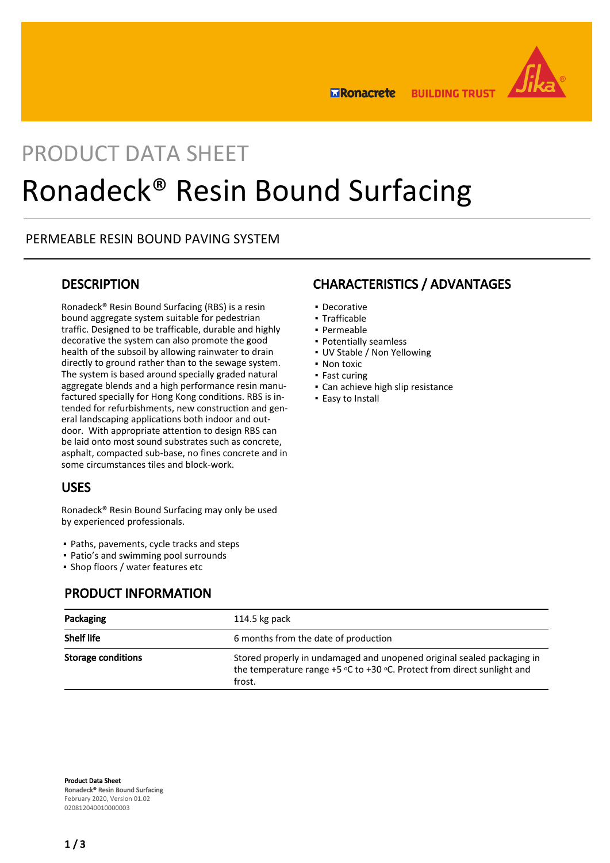

**BUILDING TRUST ERonacrete** 

# PRODUCT DATA SHEET Ronadeck® Resin Bound Surfacing

## PERMEABLE RESIN BOUND PAVING SYSTEM

## **DESCRIPTION**

Ronadeck® Resin Bound Surfacing (RBS) is a resin bound aggregate system suitable for pedestrian traffic. Designed to be trafficable, durable and highly decorative the system can also promote the good health of the subsoil by allowing rainwater to drain directly to ground rather than to the sewage system. The system is based around specially graded natural aggregate blends and a high performance resin manufactured specially for Hong Kong conditions. RBS is intended for refurbishments, new construction and general landscaping applications both indoor and outdoor. With appropriate attention to design RBS can be laid onto most sound substrates such as concrete, asphalt, compacted sub-base, no fines concrete and in some circumstances tiles and block-work.

## USES

Ronadeck® Resin Bound Surfacing may only be used by experienced professionals.

- Paths, pavements, cycle tracks and steps
- Patio's and swimming pool surrounds
- Shop floors / water features etc

## PRODUCT INFORMATION

## CHARACTERISTICS / ADVANTAGES

- Decorative
- Trafficable
- Permeable
- Potentially seamless
- UV Stable / Non Yellowing
- Non toxic
- Fast curing
- **Can achieve high slip resistance**
- **Easy to Install**

| Packaging          | 114.5 kg pack                                                                                                                                                   |  |
|--------------------|-----------------------------------------------------------------------------------------------------------------------------------------------------------------|--|
| <b>Shelf life</b>  | 6 months from the date of production                                                                                                                            |  |
| Storage conditions | Stored properly in undamaged and unopened original sealed packaging in<br>the temperature range $+5$ °C to $+30$ °C. Protect from direct sunlight and<br>frost. |  |

Product Data Sheet Ronadeck® Resin Bound Surfacing February 2020, Version 01.02 020812040010000003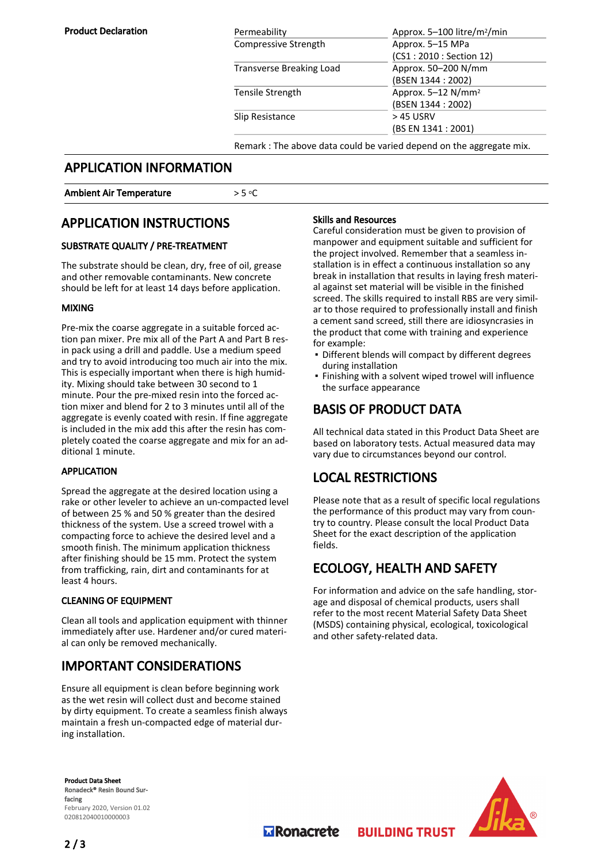| Permeability             | Approx. 5–100 litre/m <sup>2</sup> /min                              |  |
|--------------------------|----------------------------------------------------------------------|--|
| Compressive Strength     | Approx. 5-15 MPa                                                     |  |
|                          | (CS1: 2010: Section 12)                                              |  |
| Transverse Breaking Load | Approx. 50-200 N/mm                                                  |  |
|                          | (BSEN 1344 : 2002)                                                   |  |
| Tensile Strength         | Approx. 5-12 N/mm <sup>2</sup>                                       |  |
|                          | (BSEN 1344 : 2002)                                                   |  |
| Slip Resistance          | > 45 USRV                                                            |  |
|                          | (BS EN 1341 : 2001)                                                  |  |
|                          | Remark : The above data could be varied depend on the aggregate mix. |  |
|                          |                                                                      |  |

## APPLICATION INFORMATION

#### Ambient Air Temperature  $> 5 °C$

## APPLICATION INSTRUCTIONS

### SUBSTRATE QUALITY / PRE-TREATMENT

The substrate should be clean, dry, free of oil, grease and other removable contaminants. New concrete should be left for at least 14 days before application.

#### MIXING

Pre-mix the coarse aggregate in a suitable forced action pan mixer. Pre mix all of the Part A and Part B resin pack using a drill and paddle. Use a medium speed and try to avoid introducing too much air into the mix. This is especially important when there is high humidity. Mixing should take between 30 second to 1 minute. Pour the pre-mixed resin into the forced action mixer and blend for 2 to 3 minutes until all of the aggregate is evenly coated with resin. If fine aggregate is included in the mix add this after the resin has completely coated the coarse aggregate and mix for an additional 1 minute.

#### APPLICATION

Spread the aggregate at the desired location using a rake or other leveler to achieve an un-compacted level of between 25 % and 50 % greater than the desired thickness of the system. Use a screed trowel with a compacting force to achieve the desired level and a smooth finish. The minimum application thickness after finishing should be 15 mm. Protect the system from trafficking, rain, dirt and contaminants for at least 4 hours.

#### CLEANING OF EQUIPMENT

Clean all tools and application equipment with thinner immediately after use. Hardener and/or cured material can only be removed mechanically.

## IMPORTANT CONSIDERATIONS

Ensure all equipment is clean before beginning work as the wet resin will collect dust and become stained by dirty equipment. To create a seamless finish always maintain a fresh un-compacted edge of material during installation.

#### Skills and Resources

Careful consideration must be given to provision of manpower and equipment suitable and sufficient for the project involved. Remember that a seamless installation is in effect a continuous installation so any break in installation that results in laying fresh material against set material will be visible in the finished screed. The skills required to install RBS are very similar to those required to professionally install and finish a cement sand screed, still there are idiosyncrasies in the product that come with training and experience for example:

- Different blends will compact by different degrees during installation
- Finishing with a solvent wiped trowel will influence the surface appearance

## BASIS OF PRODUCT DATA

All technical data stated in this Product Data Sheet are based on laboratory tests. Actual measured data may vary due to circumstances beyond our control.

## LOCAL RESTRICTIONS

Please note that as a result of specific local regulations the performance of this product may vary from country to country. Please consult the local Product Data Sheet for the exact description of the application fields.

## ECOLOGY, HEALTH AND SAFETY

**BUILDING TRUST** 

For information and advice on the safe handling, storage and disposal of chemical products, users shall refer to the most recent Material Safety Data Sheet (MSDS) containing physical, ecological, toxicological and other safety-related data.

Product Data Sheet Ronadeck® Resin Bound Surfacing February 2020, Version 01.02 020812040010000003



**MRonacrete**